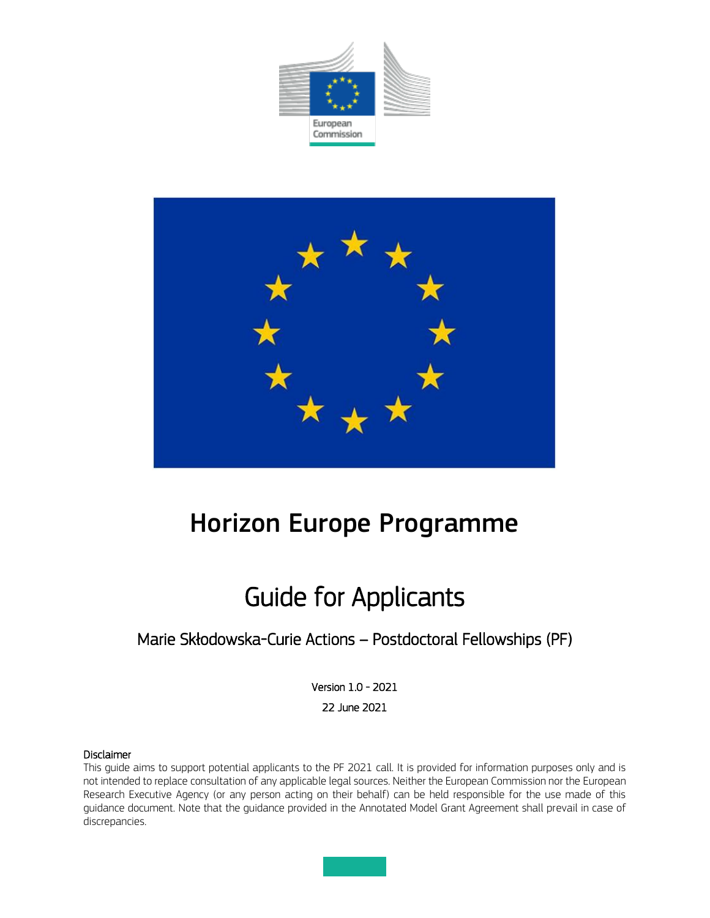



# Horizon Europe Programme

# Guide for Applicants

# Marie Skłodowska-Curie Actions – Postdoctoral Fellowships (PF)

Version 1.0 - 2021 22 June 2021

#### Disclaimer

This guide aims to support potential applicants to the PF 2021 call. It is provided for information purposes only and is not intended to replace consultation of any applicable legal sources. Neither the European Commission nor the European Research Executive Agency (or any person acting on their behalf) can be held responsible for the use made of this guidance document. Note that the guidance provided in the Annotated Model Grant Agreement shall prevail in case of discrepancies.

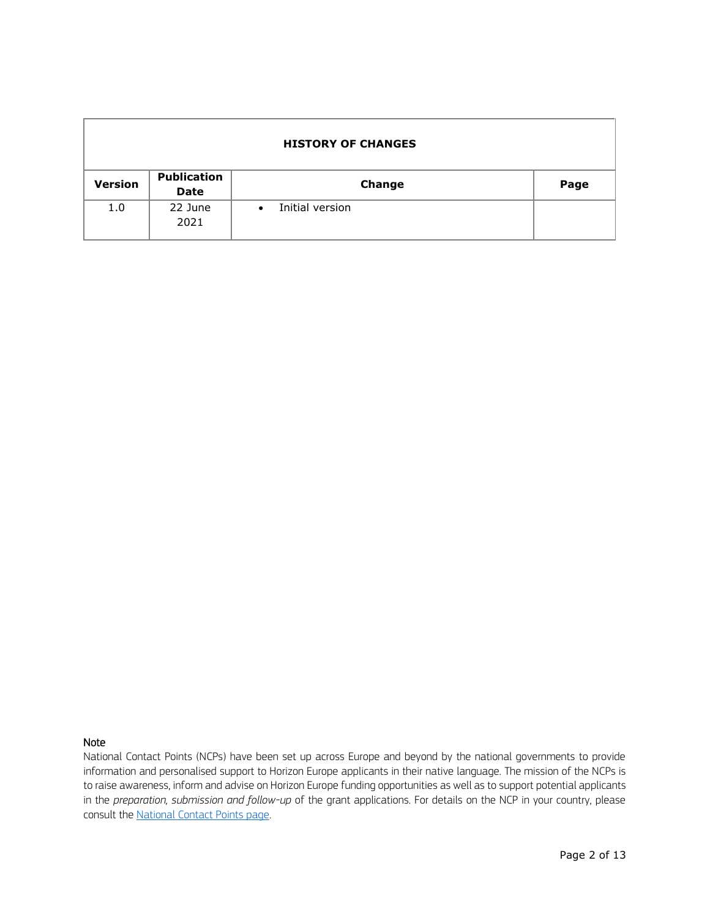| <b>HISTORY OF CHANGES</b> |                                   |                              |      |  |  |  |
|---------------------------|-----------------------------------|------------------------------|------|--|--|--|
| <b>Version</b>            | <b>Publication</b><br><b>Date</b> | Change                       | Page |  |  |  |
| 1.0                       | 22 June<br>2021                   | Initial version<br>$\bullet$ |      |  |  |  |

#### Note

National Contact Points (NCPs) have been set up across Europe and beyond by the national governments to provide information and personalised support to Horizon Europe applicants in their native language. The mission of the NCPs is to raise awareness, inform and advise on Horizon Europe funding opportunities as well as to support potential applicants in the *preparation, submission and follow-up* of the grant applications. For details on the NCP in your country, please consult the [National Contact Points page.](http://ec.europa.eu/research/participants/portal/desktop/en/support/national_contact_points.html)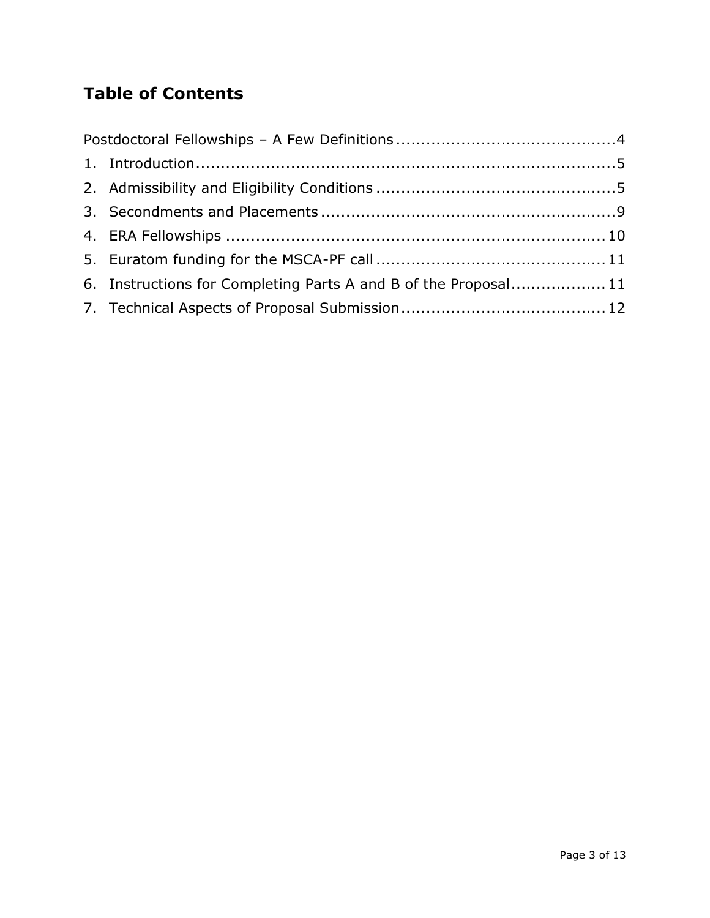# **Table of Contents**

| 6. Instructions for Completing Parts A and B of the Proposal11 |  |  |  |
|----------------------------------------------------------------|--|--|--|
|                                                                |  |  |  |
|                                                                |  |  |  |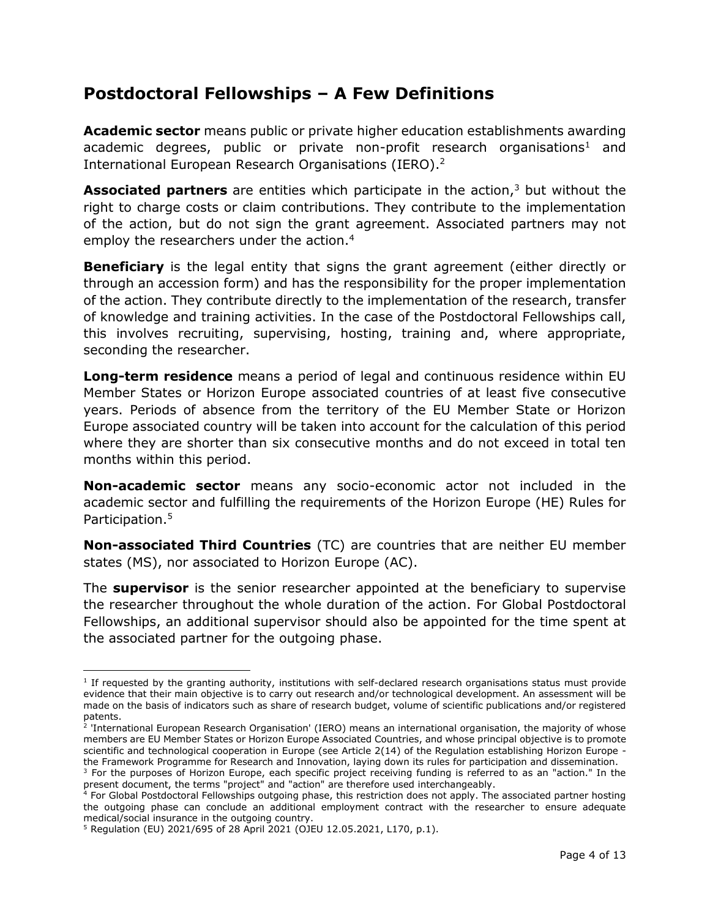# <span id="page-3-0"></span>**Postdoctoral Fellowships – A Few Definitions**

**Academic sector** means public or private higher education establishments awarding academic degrees, public or private non-profit research organisations<sup>1</sup> and International European Research Organisations (IERO). 2

**Associated partners** are entities which participate in the action,<sup>3</sup> but without the right to charge costs or claim contributions. They contribute to the implementation of the action, but do not sign the grant agreement. Associated partners may not employ the researchers under the action. 4

**Beneficiary** is the legal entity that signs the grant agreement (either directly or through an accession form) and has the responsibility for the proper implementation of the action. They contribute directly to the implementation of the research, transfer of knowledge and training activities. In the case of the Postdoctoral Fellowships call, this involves recruiting, supervising, hosting, training and, where appropriate, seconding the researcher.

**Long-term residence** means a period of legal and continuous residence within EU Member States or Horizon Europe associated countries of at least five consecutive years. Periods of absence from the territory of the EU Member State or Horizon Europe associated country will be taken into account for the calculation of this period where they are shorter than six consecutive months and do not exceed in total ten months within this period.

**Non-academic sector** means any socio-economic actor not included in the academic sector and fulfilling the requirements of the Horizon Europe (HE) Rules for Participation.<sup>5</sup>

**Non-associated Third Countries** (TC) are countries that are neither EU member states (MS), nor associated to Horizon Europe (AC).

The **supervisor** is the senior researcher appointed at the beneficiary to supervise the researcher throughout the whole duration of the action. For Global Postdoctoral Fellowships, an additional supervisor should also be appointed for the time spent at the associated partner for the outgoing phase.

 $\overline{\phantom{a}}$ 

<sup>&</sup>lt;sup>1</sup> If requested by the granting authority, institutions with self-declared research organisations status must provide evidence that their main objective is to carry out research and/or technological development. An assessment will be made on the basis of indicators such as share of research budget, volume of scientific publications and/or registered

patents. 2 'International European Research Organisation' (IERO) means an international organisation, the majority of whose members are EU Member States or Horizon Europe Associated Countries, and whose principal objective is to promote scientific and technological cooperation in Europe (see Article 2(14) of the Regulation establishing Horizon Europe the Framework Programme for Research and Innovation, laying down its rules for participation and dissemination.

<sup>&</sup>lt;sup>3</sup> For the purposes of Horizon Europe, each specific project receiving funding is referred to as an "action." In the present document, the terms "project" and "action" are therefore used interchangeably.

 $4$  For Global Postdoctoral Fellowships outgoing phase, this restriction does not apply. The associated partner hosting the outgoing phase can conclude an additional employment contract with the researcher to ensure adequate medical/social insurance in the outgoing country.

<sup>5</sup> Regulation (EU) 2021/695 of 28 April 2021 (OJEU 12.05.2021, L170, p.1).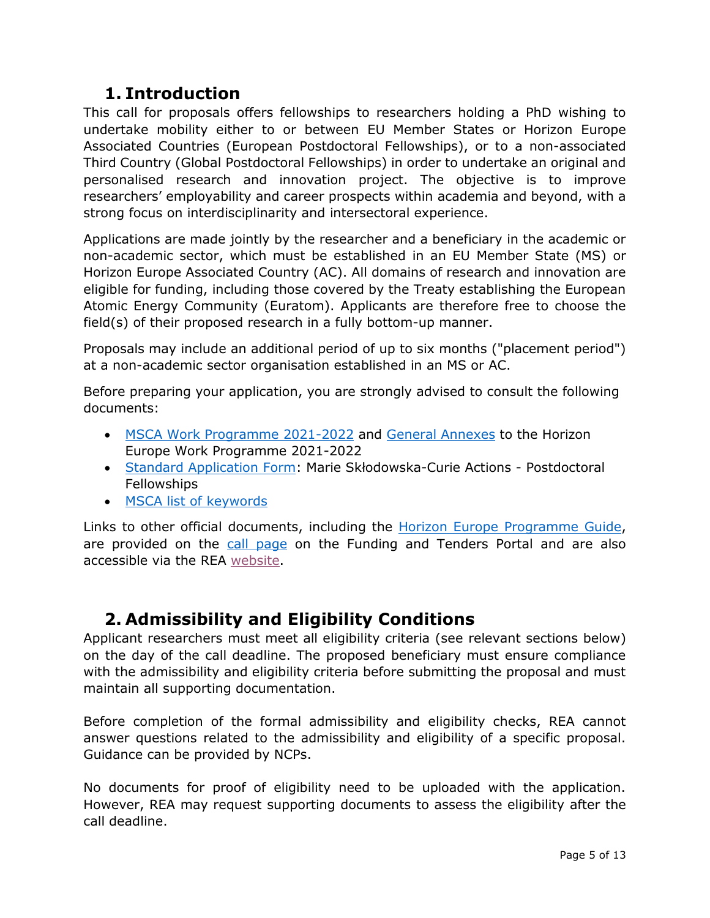## **1. Introduction**

<span id="page-4-0"></span>This call for proposals offers fellowships to researchers holding a PhD wishing to undertake mobility either to or between EU Member States or Horizon Europe Associated Countries (European Postdoctoral Fellowships), or to a non-associated Third Country (Global Postdoctoral Fellowships) in order to undertake an original and personalised research and innovation project. The objective is to improve researchers' employability and career prospects within academia and beyond, with a strong focus on interdisciplinarity and intersectoral experience.

Applications are made jointly by the researcher and a beneficiary in the academic or non-academic sector, which must be established in an EU Member State (MS) or Horizon Europe Associated Country (AC). All domains of research and innovation are eligible for funding, including those covered by the Treaty establishing the European Atomic Energy Community (Euratom). Applicants are therefore free to choose the field(s) of their proposed research in a fully bottom-up manner.

Proposals may include an additional period of up to six months ("placement period") at a non-academic sector organisation established in an MS or AC.

Before preparing your application, you are strongly advised to consult the following documents:

- [MSCA Work Programme 2021-2022](https://ec.europa.eu/info/funding-tenders/opportunities/docs/2021-2027/horizon/wp-call/2021-2022/wp-2-msca-actions_horizon-2021-2022_en.pdf) and [General Annexes](https://ec.europa.eu/info/funding-tenders/opportunities/docs/2021-2027/horizon/wp-call/2021-2022/wp-13-general-annexes_horizon-2021-2022_en.pdf) to the Horizon Europe Work Programme 2021-2022
- [Standard Application Form](https://ec.europa.eu/info/funding-tenders/opportunities/docs/2021-2027/horizon/temp-form/af/af_he-msca-pf_en.pdf): Marie Skłodowska-Curie Actions Postdoctoral Fellowships
- [MSCA list of keywords](https://rea.ec.europa.eu/system/files/2021-06/MSCA%20keywords.pdf)

Links to other official documents, including the **Horizon Europe Programme Guide**, are provided on the [call page](https://ec.europa.eu/info/funding-tenders/opportunities/portal/screen/opportunities/topic-details/horizon-msca-2021-pf-01-01) on the Funding and Tenders Portal and are also accessible via the REA [website.](https://rea.ec.europa.eu/funding-and-grants/horizon-europe-marie-sklodowska-curie-actions/horizon-europe-msca-how-apply_en)

# <span id="page-4-1"></span>**2. Admissibility and Eligibility Conditions**

Applicant researchers must meet all eligibility criteria (see relevant sections below) on the day of the call deadline. The proposed beneficiary must ensure compliance with the admissibility and eligibility criteria before submitting the proposal and must maintain all supporting documentation.

Before completion of the formal admissibility and eligibility checks, REA cannot answer questions related to the admissibility and eligibility of a specific proposal. Guidance can be provided by NCPs.

No documents for proof of eligibility need to be uploaded with the application. However, REA may request supporting documents to assess the eligibility after the call deadline.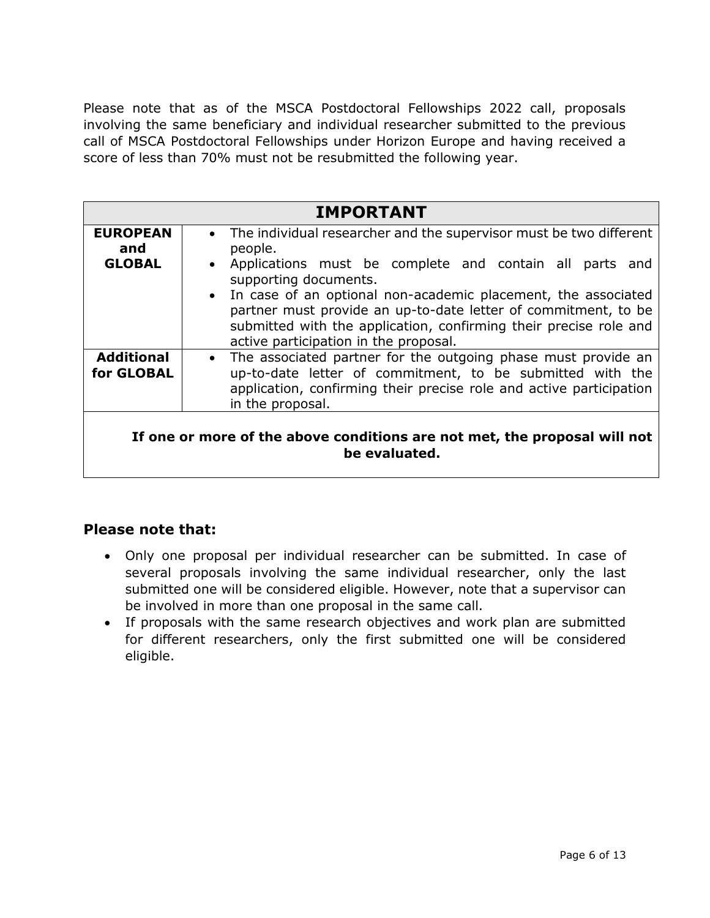Please note that as of the MSCA Postdoctoral Fellowships 2022 call, proposals involving the same beneficiary and individual researcher submitted to the previous call of MSCA Postdoctoral Fellowships under Horizon Europe and having received a score of less than 70% must not be resubmitted the following year.

| <b>IMPORTANT</b>                                                                           |                                                                                                                                                                                                                                                                                                                                                                                                                             |  |  |  |
|--------------------------------------------------------------------------------------------|-----------------------------------------------------------------------------------------------------------------------------------------------------------------------------------------------------------------------------------------------------------------------------------------------------------------------------------------------------------------------------------------------------------------------------|--|--|--|
| <b>EUROPEAN</b><br>and                                                                     | • The individual researcher and the supervisor must be two different<br>people.<br>• Applications must be complete and contain all parts<br>and<br>supporting documents.<br>• In case of an optional non-academic placement, the associated<br>partner must provide an up-to-date letter of commitment, to be<br>submitted with the application, confirming their precise role and<br>active participation in the proposal. |  |  |  |
| <b>GLOBAL</b>                                                                              |                                                                                                                                                                                                                                                                                                                                                                                                                             |  |  |  |
| <b>Additional</b><br>for GLOBAL                                                            | The associated partner for the outgoing phase must provide an<br>$\bullet$<br>up-to-date letter of commitment, to be submitted with the<br>application, confirming their precise role and active participation<br>in the proposal.                                                                                                                                                                                          |  |  |  |
| If one or more of the above conditions are not met, the proposal will not<br>be evaluated. |                                                                                                                                                                                                                                                                                                                                                                                                                             |  |  |  |

## **Please note that:**

- Only one proposal per individual researcher can be submitted. In case of several proposals involving the same individual researcher, only the last submitted one will be considered eligible. However, note that a supervisor can be involved in more than one proposal in the same call.
- If proposals with the same research objectives and work plan are submitted for different researchers, only the first submitted one will be considered eligible.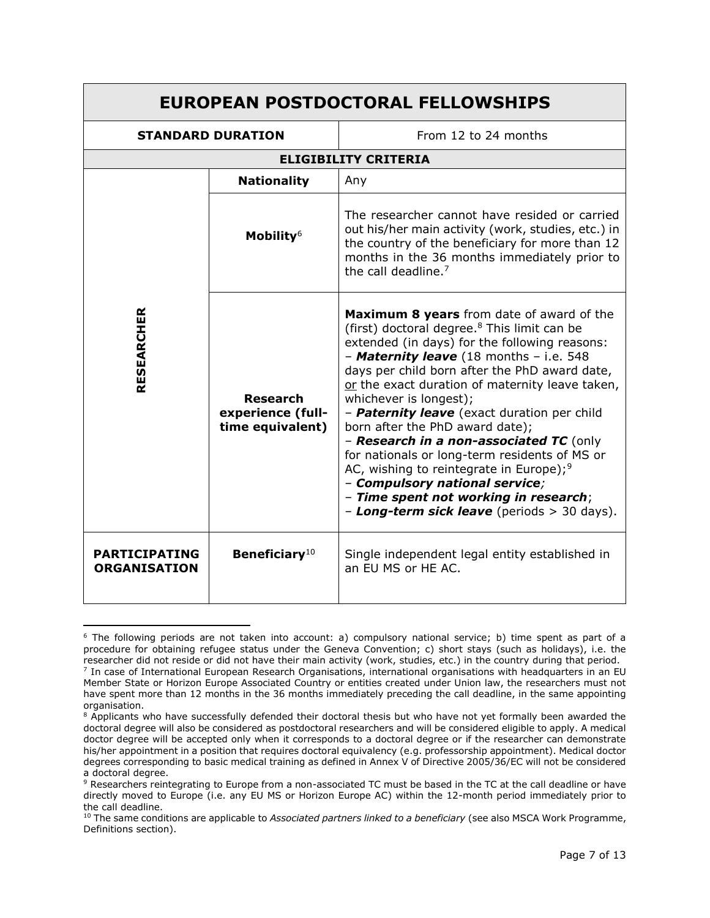#### **EUROPEAN POSTDOCTORAL FELLOWSHIPS STANDARD DURATION** From 12 to 24 months **ELIGIBILITY CRITERIA RESEARCHER Nationality Any Mobility**<sup>6</sup> The researcher cannot have resided or carried out his/her main activity (work, studies, etc.) in the country of the beneficiary for more than 12 months in the 36 months immediately prior to the call deadline.<sup>7</sup> **Research experience (fulltime equivalent) Maximum 8 years** from date of award of the (first) doctoral degree. <sup>8</sup> This limit can be extended (in days) for the following reasons: – *Maternity leave* (18 months – i.e. 548 days per child born after the PhD award date, or the exact duration of maternity leave taken, whichever is longest); – *Paternity leave* (exact duration per child born after the PhD award date); – *Research in a non-associated TC* (only for nationals or long-term residents of MS or AC, wishing to reintegrate in Europe);<sup>9</sup> – *Compulsory national service;* – *Time spent not working in research*; – *Long-term sick leave* (periods > 30 days). **PARTICIPATING ORGANISATION Beneficiary**<sup>10</sup> Single independent legal entity established in an EU MS or HE AC.

 $\overline{\phantom{a}}$ 

<sup>6</sup> The following periods are not taken into account: a) compulsory national service; b) time spent as part of a procedure for obtaining refugee status under the Geneva Convention; c) short stays (such as holidays), i.e. the researcher did not reside or did not have their main activity (work, studies, etc.) in the country during that period. 7 In case of International European Research Organisations, international organisations with headquarters in an EU Member State or Horizon Europe Associated Country or entities created under Union law, the researchers must not have spent more than 12 months in the 36 months immediately preceding the call deadline, in the same appointing organisation

<sup>&</sup>lt;sup>8</sup> Applicants who have successfully defended their doctoral thesis but who have not yet formally been awarded the doctoral degree will also be considered as postdoctoral researchers and will be considered eligible to apply. A medical doctor degree will be accepted only when it corresponds to a doctoral degree or if the researcher can demonstrate his/her appointment in a position that requires doctoral equivalency (e.g. professorship appointment). Medical doctor degrees corresponding to basic medical training as defined in Annex V of Directive 2005/36/EC will not be considered a doctoral degree.

<sup>9</sup> Researchers reintegrating to Europe from a non-associated TC must be based in the TC at the call deadline or have directly moved to Europe (i.e. any EU MS or Horizon Europe AC) within the 12-month period immediately prior to the call deadline.

<sup>10</sup> The same conditions are applicable to *Associated partners linked to a beneficiary* (see also MSCA Work Programme, Definitions section).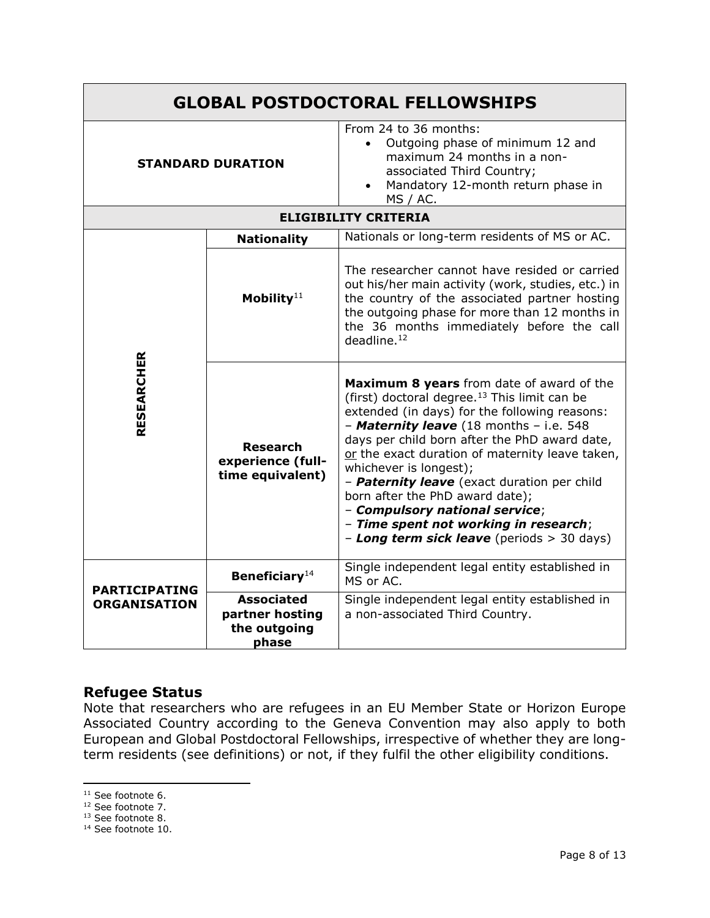| <b>GLOBAL POSTDOCTORAL FELLOWSHIPS</b> |                                                                     |                                                                                                                                                                                                                                                                                                                                                                                                                                                                                                                                            |  |  |
|----------------------------------------|---------------------------------------------------------------------|--------------------------------------------------------------------------------------------------------------------------------------------------------------------------------------------------------------------------------------------------------------------------------------------------------------------------------------------------------------------------------------------------------------------------------------------------------------------------------------------------------------------------------------------|--|--|
|                                        | <b>STANDARD DURATION</b>                                            | From 24 to 36 months:<br>Outgoing phase of minimum 12 and<br>$\bullet$<br>maximum 24 months in a non-<br>associated Third Country;<br>Mandatory 12-month return phase in<br><b>MS / AC.</b>                                                                                                                                                                                                                                                                                                                                                |  |  |
| <b>ELIGIBILITY CRITERIA</b>            |                                                                     |                                                                                                                                                                                                                                                                                                                                                                                                                                                                                                                                            |  |  |
|                                        | Nationals or long-term residents of MS or AC.<br><b>Nationality</b> |                                                                                                                                                                                                                                                                                                                                                                                                                                                                                                                                            |  |  |
|                                        | Mobility $11$                                                       | The researcher cannot have resided or carried<br>out his/her main activity (work, studies, etc.) in<br>the country of the associated partner hosting<br>the outgoing phase for more than 12 months in<br>the 36 months immediately before the call<br>deadline <sup>12</sup>                                                                                                                                                                                                                                                               |  |  |
| <b>RESEARCHER</b>                      | <b>Research</b><br>experience (full-<br>time equivalent)            | Maximum 8 years from date of award of the<br>(first) doctoral degree. <sup>13</sup> This limit can be<br>extended (in days) for the following reasons:<br>- Maternity leave (18 months - i.e. 548<br>days per child born after the PhD award date,<br>or the exact duration of maternity leave taken,<br>whichever is longest);<br>- Paternity leave (exact duration per child<br>born after the PhD award date);<br>- Compulsory national service;<br>- Time spent not working in research;<br>- Long term sick leave (periods > 30 days) |  |  |
| <b>PARTICIPATING</b>                   | <b>Beneficiary</b> <sup>14</sup>                                    | Single independent legal entity established in<br>MS or AC.                                                                                                                                                                                                                                                                                                                                                                                                                                                                                |  |  |
| <b>ORGANISATION</b>                    | <b>Associated</b><br>partner hosting<br>the outgoing<br>phase       | Single independent legal entity established in<br>a non-associated Third Country.                                                                                                                                                                                                                                                                                                                                                                                                                                                          |  |  |

## **Refugee Status**

Note that researchers who are refugees in an EU Member State or Horizon Europe Associated Country according to the Geneva Convention may also apply to both European and Global Postdoctoral Fellowships, irrespective of whether they are longterm residents (see definitions) or not, if they fulfil the other eligibility conditions.

 $\overline{\phantom{a}}$ 

<sup>&</sup>lt;sup>11</sup> See footnote 6.

<sup>12</sup> See footnote 7.

<sup>&</sup>lt;sup>13</sup> See footnote 8.

<sup>&</sup>lt;sup>14</sup> See footnote 10.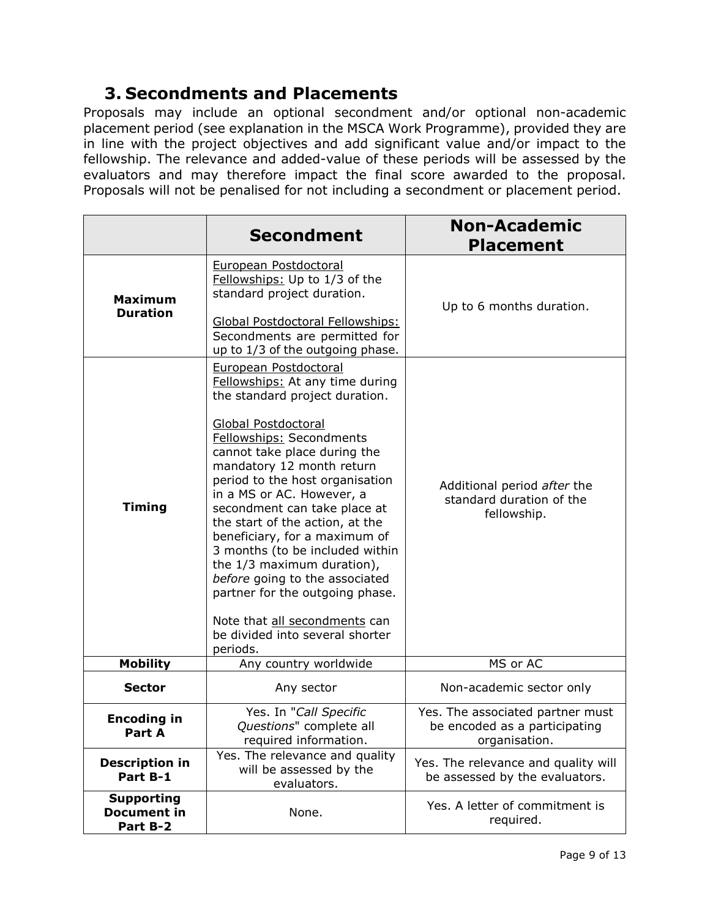# **3. Secondments and Placements**

<span id="page-8-0"></span>Proposals may include an optional secondment and/or optional non-academic placement period (see explanation in the MSCA Work Programme), provided they are in line with the project objectives and add significant value and/or impact to the fellowship. The relevance and added-value of these periods will be assessed by the evaluators and may therefore impact the final score awarded to the proposal. Proposals will not be penalised for not including a secondment or placement period.

|                                                     | <b>Secondment</b>                                                                                                                                                                                                                                                                                                                                                                                                                                                                                                                                                                                           | <b>Non-Academic</b><br><b>Placement</b>                                            |
|-----------------------------------------------------|-------------------------------------------------------------------------------------------------------------------------------------------------------------------------------------------------------------------------------------------------------------------------------------------------------------------------------------------------------------------------------------------------------------------------------------------------------------------------------------------------------------------------------------------------------------------------------------------------------------|------------------------------------------------------------------------------------|
| <b>Maximum</b><br><b>Duration</b>                   | European Postdoctoral<br>Fellowships: Up to 1/3 of the<br>standard project duration.<br>Global Postdoctoral Fellowships:<br>Secondments are permitted for<br>up to 1/3 of the outgoing phase.                                                                                                                                                                                                                                                                                                                                                                                                               | Up to 6 months duration.                                                           |
| <b>Timing</b>                                       | European Postdoctoral<br>Fellowships: At any time during<br>the standard project duration.<br>Global Postdoctoral<br><b>Fellowships: Secondments</b><br>cannot take place during the<br>mandatory 12 month return<br>period to the host organisation<br>in a MS or AC. However, a<br>secondment can take place at<br>the start of the action, at the<br>beneficiary, for a maximum of<br>3 months (to be included within<br>the 1/3 maximum duration),<br>before going to the associated<br>partner for the outgoing phase.<br>Note that all secondments can<br>be divided into several shorter<br>periods. | Additional period after the<br>standard duration of the<br>fellowship.             |
| <b>Mobility</b>                                     | Any country worldwide                                                                                                                                                                                                                                                                                                                                                                                                                                                                                                                                                                                       | MS or AC                                                                           |
| <b>Sector</b>                                       | Any sector                                                                                                                                                                                                                                                                                                                                                                                                                                                                                                                                                                                                  | Non-academic sector only                                                           |
| <b>Encoding in</b><br>Part A                        | Yes. In "Call Specific<br>Questions" complete all<br>required information.                                                                                                                                                                                                                                                                                                                                                                                                                                                                                                                                  | Yes. The associated partner must<br>be encoded as a participating<br>organisation. |
| <b>Description in</b><br>Part B-1                   | Yes. The relevance and quality<br>will be assessed by the<br>evaluators.                                                                                                                                                                                                                                                                                                                                                                                                                                                                                                                                    | Yes. The relevance and quality will<br>be assessed by the evaluators.              |
| <b>Supporting</b><br><b>Document in</b><br>Part B-2 | None.                                                                                                                                                                                                                                                                                                                                                                                                                                                                                                                                                                                                       | Yes. A letter of commitment is<br>required.                                        |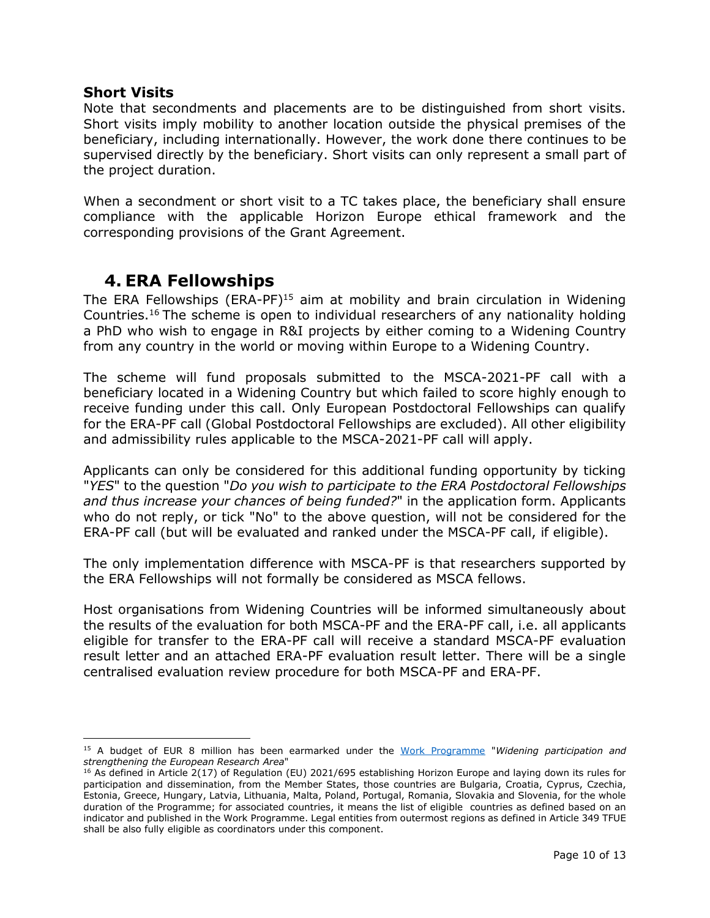#### **Short Visits**

Note that secondments and placements are to be distinguished from short visits. Short visits imply mobility to another location outside the physical premises of the beneficiary, including internationally. However, the work done there continues to be supervised directly by the beneficiary. Short visits can only represent a small part of the project duration.

When a secondment or short visit to a TC takes place, the beneficiary shall ensure compliance with the applicable Horizon Europe ethical framework and the corresponding provisions of the Grant Agreement.

## <span id="page-9-0"></span>**4. ERA Fellowships**

The ERA Fellowships  $(ERA-PF)^{15}$  aim at mobility and brain circulation in Widening Countries. <sup>16</sup> The scheme is open to individual researchers of any nationality holding a PhD who wish to engage in R&I projects by either coming to a Widening Country from any country in the world or moving within Europe to a Widening Country.

The scheme will fund proposals submitted to the MSCA-2021-PF call with a beneficiary located in a Widening Country but which failed to score highly enough to receive funding under this call. Only European Postdoctoral Fellowships can qualify for the ERA-PF call (Global Postdoctoral Fellowships are excluded). All other eligibility and admissibility rules applicable to the MSCA-2021-PF call will apply.

Applicants can only be considered for this additional funding opportunity by ticking "*YES*" to the question "*Do you wish to participate to the ERA Postdoctoral Fellowships and thus increase your chances of being funded?*" in the application form. Applicants who do not reply, or tick "No" to the above question, will not be considered for the ERA-PF call (but will be evaluated and ranked under the MSCA-PF call, if eligible).

The only implementation difference with MSCA-PF is that researchers supported by the ERA Fellowships will not formally be considered as MSCA fellows.

Host organisations from Widening Countries will be informed simultaneously about the results of the evaluation for both MSCA-PF and the ERA-PF call, i.e. all applicants eligible for transfer to the ERA-PF call will receive a standard MSCA-PF evaluation result letter and an attached ERA-PF evaluation result letter. There will be a single centralised evaluation review procedure for both MSCA-PF and ERA-PF.

l <sup>15</sup> A budget of EUR 8 million has been earmarked under the [Work Programme](https://ec.europa.eu/info/funding-tenders/opportunities/docs/2021-2027/horizon/wp-call/2021-2022/wp-11-widening-participation-and-strengthening-the-european-research-area_horizon-2021-2022_en.pdf) "*Widening participation and strengthening the European Research Area*"

<sup>&</sup>lt;sup>16</sup> As defined in Article 2(17) of Regulation (EU) 2021/695 establishing Horizon Europe and laying down its rules for participation and dissemination, from the Member States, those countries are Bulgaria, Croatia, Cyprus, Czechia, Estonia, Greece, Hungary, Latvia, Lithuania, Malta, Poland, Portugal, Romania, Slovakia and Slovenia, for the whole duration of the Programme; for associated countries, it means the list of eligible countries as defined based on an indicator and published in the Work Programme. Legal entities from outermost regions as defined in Article 349 TFUE shall be also fully eligible as coordinators under this component.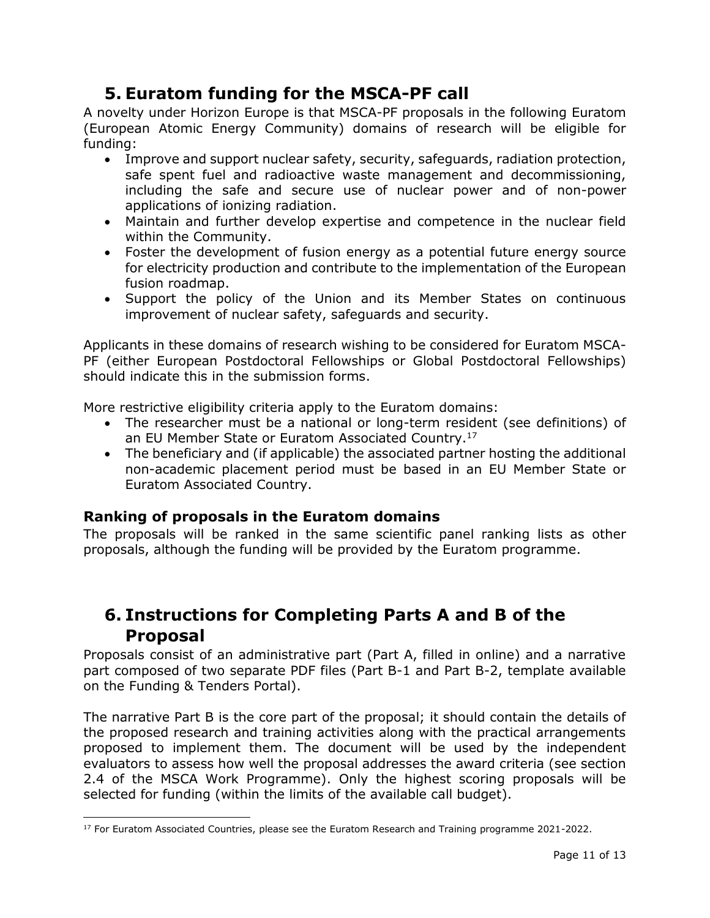# **5. Euratom funding for the MSCA-PF call**

<span id="page-10-0"></span>A novelty under Horizon Europe is that MSCA-PF proposals in the following Euratom (European Atomic Energy Community) domains of research will be eligible for funding:

- Improve and support nuclear safety, security, safeguards, radiation protection, safe spent fuel and radioactive waste management and decommissioning, including the safe and secure use of nuclear power and of non-power applications of ionizing radiation.
- Maintain and further develop expertise and competence in the nuclear field within the Community.
- Foster the development of fusion energy as a potential future energy source for electricity production and contribute to the implementation of the European fusion roadmap.
- Support the policy of the Union and its Member States on continuous improvement of nuclear safety, safeguards and security.

Applicants in these domains of research wishing to be considered for Euratom MSCA-PF (either European Postdoctoral Fellowships or Global Postdoctoral Fellowships) should indicate this in the submission forms.

More restrictive eligibility criteria apply to the Euratom domains:

- The researcher must be a national or long-term resident (see definitions) of an EU Member State or Euratom Associated Country. 17
- The beneficiary and (if applicable) the associated partner hosting the additional non-academic placement period must be based in an EU Member State or Euratom Associated Country.

## **Ranking of proposals in the Euratom domains**

The proposals will be ranked in the same scientific panel ranking lists as other proposals, although the funding will be provided by the Euratom programme.

## <span id="page-10-1"></span>**6. Instructions for Completing Parts A and B of the Proposal**

Proposals consist of an administrative part (Part A, filled in online) and a narrative part composed of two separate PDF files (Part B-1 and Part B-2, template available on the Funding & Tenders Portal).

The narrative Part B is the core part of the proposal; it should contain the details of the proposed research and training activities along with the practical arrangements proposed to implement them. The document will be used by the independent evaluators to assess how well the proposal addresses the award criteria (see section 2.4 of the MSCA Work Programme). Only the highest scoring proposals will be selected for funding (within the limits of the available call budget).

 $\overline{\phantom{a}}$ <sup>17</sup> For Euratom Associated Countries, please see the Euratom Research and Training programme 2021-2022.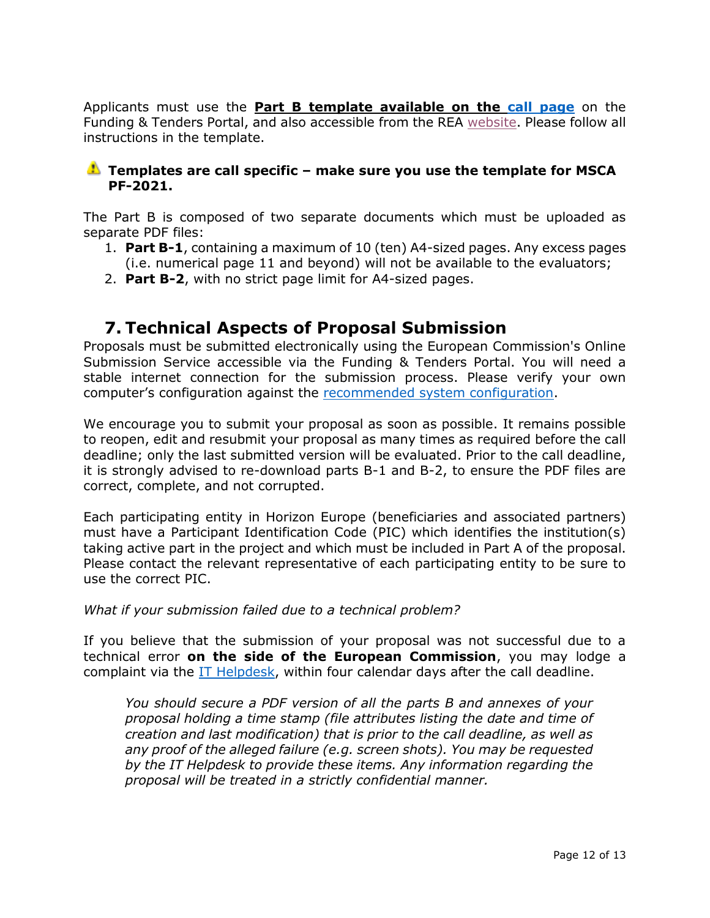Applicants must use the **Part B template available on the [call page](https://ec.europa.eu/info/funding-tenders/opportunities/portal/screen/opportunities/topic-details/horizon-msca-2021-pf-01-01;callCode=null;freeTextSearchKeyword=;matchWholeText=true;typeCodes=1,0;statusCodes=31094501,31094502,31094503;programmePeriod=2021%20-%202027;programCcm2Id=43108390;programDivisionCode=43108473;focusAreaCode=null;destination=null;mission=null;geographicalZonesCode=null;programmeDivisionProspect=null;startDateLte=null;startDateGte=null;crossCuttingPriorityCode=null;cpvCode=null;performanceOfDelivery=null;sortQuery=sortStatus;orderBy=asc;onlyTenders=false;topicListKey=topicSearchTablePageState)** on the Funding & Tenders Portal, and also accessible from the REA [website.](https://rea.ec.europa.eu/funding-and-grants/horizon-europe-marie-sklodowska-curie-actions/horizon-europe-msca-how-apply_en) Please follow all instructions in the template.

#### **Templates are call specific – make sure you use the template for MSCA PF-2021.**

The Part B is composed of two separate documents which must be uploaded as separate PDF files:

- 1. **Part B-1**, containing a maximum of 10 (ten) A4-sized pages. Any excess pages (i.e. numerical page 11 and beyond) will not be available to the evaluators;
- 2. **Part B-2**, with no strict page limit for A4-sized pages.

## <span id="page-11-0"></span>**7. Technical Aspects of Proposal Submission**

Proposals must be submitted electronically using the European Commission's Online Submission Service accessible via the Funding & Tenders Portal. You will need a stable internet connection for the submission process. Please verify your own computer's configuration against the [recommended system configuration.](https://ec.europa.eu/research/participants/data/support/sep_usermanual.pdf)

We encourage you to submit your proposal as soon as possible. It remains possible to reopen, edit and resubmit your proposal as many times as required before the call deadline; only the last submitted version will be evaluated. Prior to the call deadline, it is strongly advised to re-download parts B-1 and B-2, to ensure the PDF files are correct, complete, and not corrupted.

Each participating entity in Horizon Europe (beneficiaries and associated partners) must have a Participant Identification Code (PIC) which identifies the institution(s) taking active part in the project and which must be included in Part A of the proposal. Please contact the relevant representative of each participating entity to be sure to use the correct PIC.

*What if your submission failed due to a technical problem?*

If you believe that the submission of your proposal was not successful due to a technical error **on the side of the European Commission**, you may lodge a complaint via the [IT Helpdesk,](https://ec.europa.eu/info/funding-tenders/opportunities/portal/screen/support/helpdesks/contact-form) within four calendar days after the call deadline.

*You should secure a PDF version of all the parts B and annexes of your proposal holding a time stamp (file attributes listing the date and time of creation and last modification) that is prior to the call deadline, as well as any proof of the alleged failure (e.g. screen shots). You may be requested by the IT Helpdesk to provide these items. Any information regarding the proposal will be treated in a strictly confidential manner.*